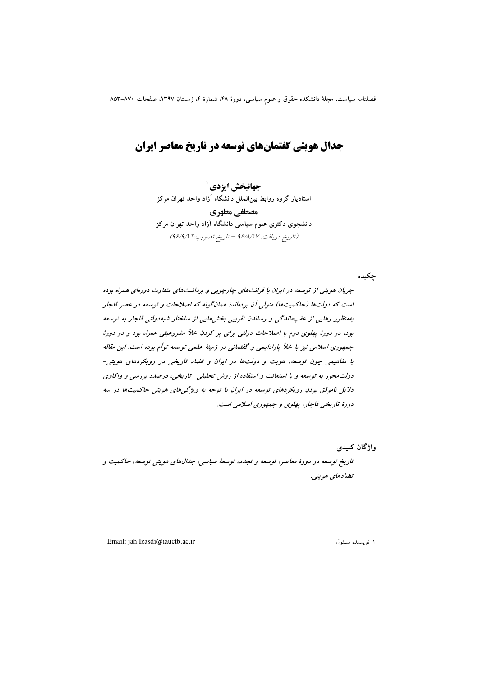# جدال هویتی گفتمانهای توسعه در تاریخ معاصر ایران

جهانبخش ايزدي` استادیار گروه روابط بین|لملل دانشگاه آزاد واحد تهران مرکز مصطفى مطهري دانشجوی دکتری علوم سیاسی دانشگاه آزاد واحد تهران مرکز (تاريخ دريافت: ٩۶/٨/١٧ - تاريخ تصويب:٢ ٩۶/٩/١)

چکیده

جریان هویتی از توسعه در ایران با قرائتهای جارجویی و برداشتهای متفاوت دورهای همراه بوده است که دولتها (حاکمیتها) متولی آن بودهاند؛ همانگونه که اصلاحات و توسعه در عصر قاجار بهمنظور رهایی از عقب ماندگی و رساندن تقریبی بخش هایی از ساختار شبه دولتی قاجار به توسعه بود، در دورهٔ پهلوی دوم با اصلاحات دولتی برای پر کردن خلاً مشروعیتی همراه بود و در دورهٔ جمهوری اسلامی نیز با خلأ پارادایمی و گفتمانی در زمینهٔ علمی توسعه تواُم بوده است. این مقاله با مفاهیمی چون توسعه، هویت و دولتها در ایران و تضاد تاریخی در رویکردهای هویتی-دولت محور به توسعه و با استعانت و استفاده از روش تحلیلی- تاریخی، درصدد بررسی و واکاوی دلایل ناموفق بودن رویکردهای توسعه در ایران با توجه به ویژگیهای هویتی حاکمیتها در سه دورهٔ تاریخی قاجار، پهلوی و جمهوری اسلامی است.

واژگان کلیدی

تاریخ توسعه در دورهٔ معاصر، توسعه و تجدد، توسعهٔ سیاسی، جدالهای هویتی توسعه، حاکمیت و تضادهای هویتی.

Email: iah.Izasdi@iauctb.ac.ir

١. نويسنده مسئول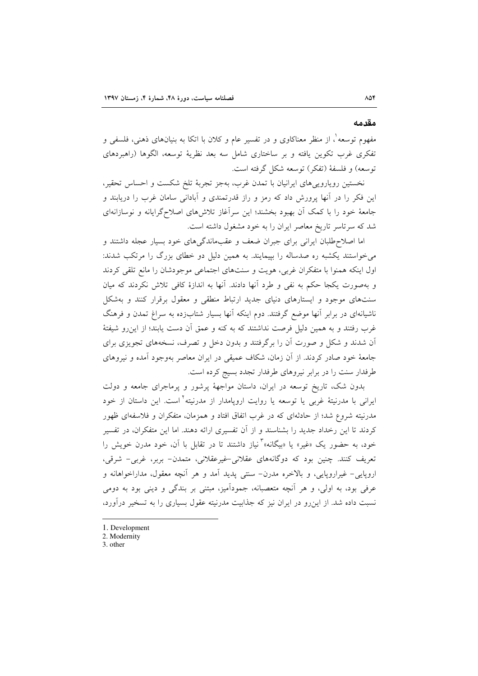#### مقدمه

مفهوم توسعه ْ، از منظر معناکاوی و در تفسیر عام و کلان با اتکا به بنیانهای ذهنی، فلسفی و تفکری غرب تکوین یافته و بر ساختاری شامل سه بعد نظریهٔ توسعه، الگوها (راهبردهای توسعه) و فلسفة (تفكر) توسعه شكل گرفته است.

نخستین رویاروییهای ایرانیان با تمدن غرب، بهجز تجربهٔ تلخ شکست و احساس تحقیر، این فکر را در آنها پرورش داد که رمز و راز قدرتمندی و آبادانی سامان غرب را دریابند و جامعهٔ خود را با کمک آن بهبود بخشند؛ این سرآغاز تلاشهای اصلاحگرایانه و نوسازانهای شد که سرتاسر تاریخ معاصر ایران را به خود مشغول داشته است.

اما اصلاحطلبان ایرانی برای جبران ضعف و عقبماندگیهای خود بسیار عجله داشتند و میخواستند یکشبه ره صدساله را بپیمایند. به همین دلیل دو خطای بزرگ را مرتکب شدند: اول اینکه همنوا با متفکران غربی، هویت و سنتهای اجتماعی موجودشان را مانع تلقی کردند و بهصورت یکجا حکم به نفی و طرد آنها دادند. آنها به اندازهٔ کافی تلاش نکردند که میان سنتهای موجود و ایستارهای دنیای جدید ارتباط منطقی و معقول برقرار کنند و بهشکل ناشیانهای در برابر آنها موضع گرفتند. دوم اینکه آنها بسیار شتابزده به سراغ تمدن و فرهنگ غرب رفتند و به همین دلیل فرصت نداشتند که به کنه و عمق آن دست یابند؛ از این رو شیفتهٔ آن شدند و شکل و صورت آن را برگرفتند و بدون دخل و تصرف، نسخههای تجویزی برای جامعهٔ خود صادر کردند. از آن زمان، شکاف عمیقی در ایران معاصر بهوجود آمده و نیروهای طرفدار سنت را در برابر نیروهای طرفدار تجدد بسیج کرده است.

بدون شک، تاریخ توسعه در ایران، داستان مواجههٔ پرشور و پرماجرای جامعه و دولت ایرانی با مدرنیتهٔ غربی یا توسعه یا روایت اروپامدار از مدرنیته<sup>۲</sup>است. این داستان از خود مدرنیته شروع شد؛ از حادثهای که در غرب اتفاق افتاد و همزمان، متفکران و فلاسفهای ظهور کردند تا این رخداد جدید را بشناسند و از آن تفسیری ارائه دهند. اما این متفکران، در تفسیر خود، به حضور یک «غیر» یا «بیگانه»<sup>۳</sup>نیاز داشتند تا در تقابل با آن، خود مدرن خویش را تعریف کنند. چنین بود که دوگانههای عقلانی-غیرعقلانی، متمدن- بربر، غربی- شرقی، اروپایی- غیراروپایی، و بالاخره مدرن- سنتی پدید آمد و هر آنچه معقول، مداراخواهانه و عرفي بود، به اولي، و هر آنچه متعصبانه، جمودآميز، مبتني بر بندگي و ديني بود به دومي نسبت داده شد. از این رو در ایران نیز که جذابیت مدرنیته عقول بسیاری را به تسخیر درآورد،

- 1. Development
- 2. Modernity
- 3. other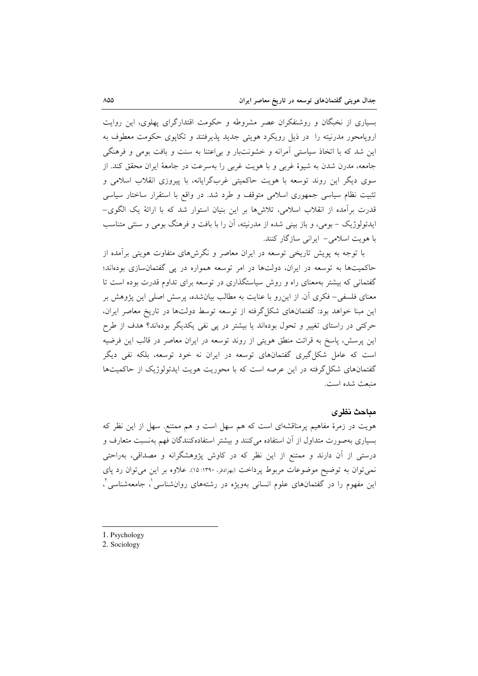بسیاری از نخبگان و روشنفکران عصر مشروطه و حکومت اقتدارگرای پهلوی، این روایت اروپامحور مدرنیته را در ذیل رویکرد هویتی جدید پذیرفتند و تکایوی حکومت معطوف به این شد که با اتخاذ سیاستی آمرانه و خشونتبار و بی اعتنا به سنت و بافت بومی و فرهنگی جامعه، مدرن شدن به شیوهٔ غربی و با هویت غربی را بهسرعت در جامعهٔ ایران محقق کند. از سوی دیگر این روند توسعه با هویت حاکمیتی غربگرایانه، با پیروزی انقلاب اسلامی و تثبیت نظام سیاسی جمهوری اسلامی متوقف و طرد شد. در واقع با استقرار ساختار سیاسی قدرت برآمده از انقلاب اسلامی، تلاشرها بر این بنیان استوار شد که با ارائهٔ یک الگوی– ایدئولوژیک – بومی، و باز بینی شده از مدرنیته، آن را با بافت و فرهنگ بومی و سنتی متناسب با هویت اسلامی- ایرانی سازگار کنند.

با توجه به پویش تاریخی توسعه در ایران معاصر و نگرشهای متفاوت هویتی برآمده از حاکمیتها به توسعه در ایران، دولتها در امر توسعه همواره در پی گفتمانسازی بودهاند؛ گفتمانی که بیشتر بهمعنای راه و روش سیاستگذاری در توسعه برای تداوم قدرت بوده است تا معنای فلسفی– فکری آن از این٫و با عنایت به مطالب بیانشده، پرسش اصلی این پژوهش بر این مبنا خواهد بود: گفتمانهای شکل گرفته از توسعه توسط دولتها در تاریخ معاصر ایران، حرکتی در راستای تغییر و تحول بودهاند یا بیشتر در پی نفی یکدیگر بودهاند؟ هدف از طرح این پرسش، پاسخ به قرائت منطق هویتی از روند توسعه در ایران معاصر در قالب این فرضیه است که عامل شکل گیری گفتمانهای توسعه در ایران نه خود توسعه، بلکه نفی دیگر گفتمانهای شکل گرفته در این عرصه است که با محوریت هویت ایدئولوژیک از حاکمیتها منبعث شده است.

### مباحث نظرى

هویت در زمرهٔ مفاهیم پرمناقشهای است که هم سهل است و هم ممتنع. سهل از این نظر که بسیاری بهصورت متداول از آن استفاده میکنند و بیشتر استفادهکنندگان فهم بهنسبت متعارف و درستی از آن دارند و ممتنع از این نظر که در کاوش پژوهشگرانه و مصداقی، بهراحتی نمی توان به توضیح موضوعات مربوط پرداخت (بهرادفر، ۱۳۹۰: ۱۵). علاوه بر این می توان رد پای این مفهوم را در گفتمانهای علوم انسانی بهویژه در رشتههای روانشناسی ٔ، جامعهشناسی ٔ،

- 1. Psychology
- 2. Sociology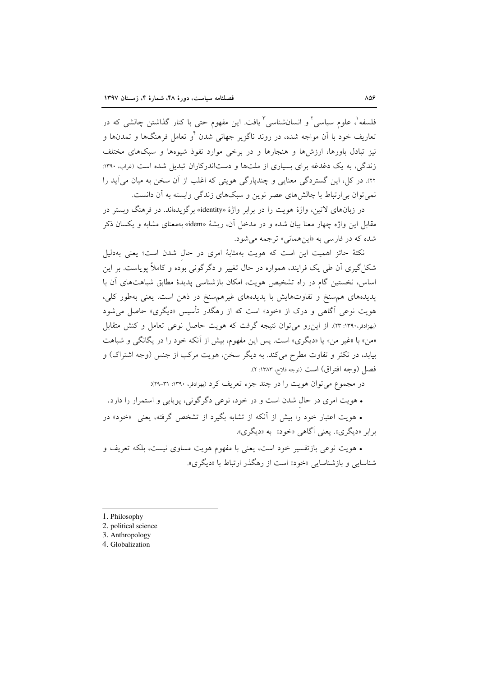فلسفه'، علوم سیاسی' و انسانشناسی'' یافت. این مفهوم حت<sub>می</sub> با کنار گذاشتن چالشی که در ۔<br>تعاریف خود با آن مواجه شده، در روند ناگزیر جهانی شدن <sup>۶</sup>و تعامل فرهنگها و تمدنها و نیز تبادل باورها، ارزشها و هنجارها و در برخی موارد نفوذ شیوهها و سبکهای مختلف زندگی، به یک دغدغه برای بسیاری از ملتها و دستاندرکاران تبدیل شده است (غراب، ۱۳۹۰: ٢٢). در کل، این گستردگی معنایی و چندیارگی هویتی که اغلب از آن سخن به میان می آید را نمي توان بي ارتباط با چالش هاي عصر نوين و سبکهاي زندگي وابسته به آن دانست.

در زبانهای لاتین، واژهٔ هویت را در برابر واژهٔ «identity» برگزیدهاند. در فرهنگ وبستر در مقابل این واژه چهار معنا بیان شده و در مدخل آن، ریشهٔ «idem» بهمعنای مشابه و یکسان ذکر شده که در فارسی به «اینهمانی» ترجمه می شود.

نکتهٔ حائز اهمیت این است که هویت بهمثابهٔ امری در حال شدن است؛ یعنی بهدلیل شکل گیری آن طی یک فرایند، همواره در حال تغییر و دگرگونی بوده و کاملاً پویاست. بر این اساس، نخستین گام در راه تشخیص هویت، امکان بازشناسی پدیدهٔ مطابق شباهتهای آن با پدیدههای هم سنخ و تفاوتهایش با پدیدههای غیرهم سنخ در ذهن است. یعنی بهطور کلی، هویت نوعی آگاهی و درک از «خود» است که از رهگذر تأسیس «دیگری» حاصل می شود (بهزادفر،١٣٩٠: ٢٣). از اين رو مي توان نتيجه گرفت كه هويت حاصل نوعي تعامل و كنش متقابل «من» با «غیر من» یا «دیگری» است. پس این مفهوم، بیش از آنکه خود را در یگانگی و شباهت بیابد، در تکثر و تفاوت مطرح میکند. به دیگر سخن، هویت مرکب از جنس (وجه اشتراک) و فصل (وجه افتراق) است (نوچه فلاح، ۱۳۸۳: ۲).

در مجموع می توان هویت را در چند جزء تعریف کرد (بهزادفر، ۱۳۹۰: ۳۱-۲۹):

• هويت امري در حال شدن است و در خود، نوعي دگرگوني، پويايي و استمرار را دارد.

• هويت اعتبار خود را بيش از آنكه از تشابه بگيرد از تشخص گرفته، يعني «خود» در برابر «دیگری». یعنی آگاهی «خود» به «دیگری».

• هويت نوعي بازتفسير خود است، يعني با مفهوم هويت مساوى نيست، بلكه تعريف و شناسایی و بازشناسایی «خود» است از رهگذر ارتباط با «دیگری».

- 1. Philosophy
- 2. political science
- 3. Anthropology
- 4. Globalization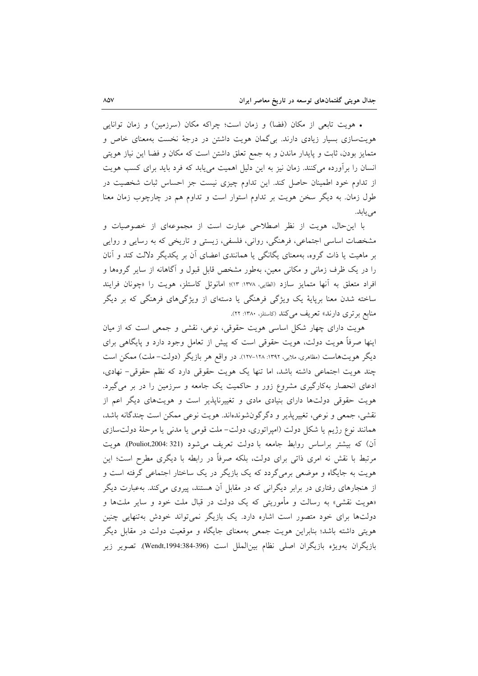• هويت تابعي از مكان (فضا) و زمان است؛ چراكه مكان (سرزمين) و زمان توانايي هویتسازی بسیار زیادی دارند. بیگمان هویت داشتن در درجهٔ نخست بهمعنای خاص و متمایز بودن، ثابت و پایدار ماندن و به جمع تعلق داشتن است که مکان و فضا این نیاز هویتی انسان را برأورده میکنند. زمان نیز به این دلیل اهمیت مییابد که فرد باید برای کسب هویت از تداوم خود اطمینان حاصل کند. این تداوم چیزی نیست جز احساس ثبات شخصیت در طول زمان. به دیگر سخن هویت بر تداوم استوار است و تداوم هم در چارچوب زمان معنا می یابد.

با این حال، هویت از نظر اصطلاحی عبارت است از مجموعهای از خصوصیات و مشخصات اساسی اجتماعی، فرهنگی، روانی، فلسفی، زیستی و تاریخی که به رسایی و روایی بر ماهیت یا ذات گروه، بهمعنای یگانگی یا همانندی اعضای آن بر یکدیگر دلالت کند و آنان را در یک ظرف زمانی و مکانی معین، بهطور مشخص قابل قبول و آگاهانه از سایر گروهها و افراد متعلق به آنها متمايز سازد (الطايي، ١٣٧٨: ١٣)؛ امانوئل كاستلز، هويت را «چونان فرايند ساخته شدن معنا برپایهٔ یک ویژگی فرهنگی یا دستهای از ویژگیهای فرهنگی که بر دیگر منابع بر تری دارند» تعریف می کند (کاستلز، ۱۳۸۰: ۲۲).

هویت دارای چهار شکل اساسی هویت حقوقی، نوعی، نقشی و جمعی است که از میان اینها صرفاً هویت دولت، هویت حقوقی است که پیش از تعامل وجود دارد و پایگاهی برای دیگر هویتهاست (مظاهری، ملایی، ۱۳۹۲: ۱۲۸–۱۲۷). در واقع هر بازیگر (دولت– ملت) ممکن است چند هویت اجتماعی داشته باشد، اما تنها یک هویت حقوقی دارد که نظم حقوقی- نهادی، ادعای انحصار بهکارگیری مشروع زور و حاکمیت یک جامعه و سرزمین را در بر میگیرد. هویت حقوقی دولتها دارای بنیادی مادی و تغییرناپذیر است و هویتهای دیگر اعم از نقشي، جمعي و نوعي، تغييريذير و دگرگونشوندهاند. هويت نوعي ممكن است چندگانه باشد، همانند نوع رژيم يا شكل دولت (امپراتوري، دولت- ملت قومي يا مدني يا مرحلهٔ دولتسازي آن) که بیشتر براساس روابط جامعه با دولت تعریف میشود (Pouliot,2004:321). هویت مرتبط با نقش نه امری ذاتی برای دولت، بلکه صرفاً در رابطه با دیگری مطرح است؛ این هویت به جایگاه و موضعی برمیگردد که یک بازیگر در یک ساختار اجتماعی گرفته است و از هنجارهای رفتاری در برابر دیگرانی که در مقابل آن هستند، پیروی می کند. بهعبارت دیگر «هویت نقشی» به رسالت و مأموریتی که یک دولت در قبال ملت خود و سایر ملتها و دولتها برای خود متصور است اشاره دارد. یک بازیگر نمی تواند خودش بهتنهایی چنین هویتی داشته باشد؛ بنابراین هویت جمعی بهمعنای جایگاه و موقعیت دولت در مقابل دیگر بازیگران بهویژه بازیگران اصلی نظام بین|لملل است (396-384:Wendt,1994). تصویر زیر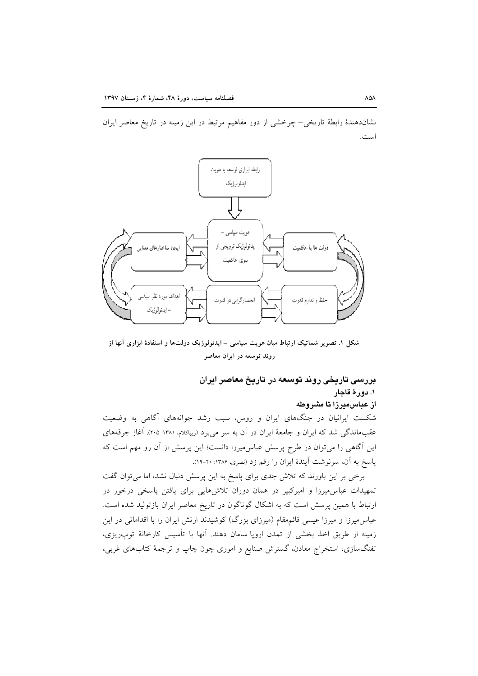نشاندهندهٔ رابطهٔ تاریخی–چرخشی از دور مفاهیم مرتبط در این زمینه در تاریخ معاصر ایران است.



شکل ۱. تصویر شماتیک ارتباط میان هویت سیاسی – ایدئولوژیک دولتها و استفادهٔ ابزاری آنها از روند توسعه در ایران معاصر

# بررسی تاریخی روند توسعه در تاریخ معاصر ایران ١. دورة قاجار از عباس،میرزا تا مشروطه

شکست ایرانیان در جنگهای ایران و روس، سبب رشد جوانههای آگاهی به وضعیت عقبماندگی شد که ایران و جامعهٔ ایران در آن به سر میبرد (زیباکلام، ۱۳۸۱: ۲۰۵). آغاز جرقههای این آگاهی را میتوان در طرح پرسش عباس میرزا دانست؛ این پرسش از آن رو مهم است که پاسخ به آن، سرنوشت آیندهٔ ایران را رقم زد (نصری، ۱۳۸۶: ۲۰-۱۹).

برخی بر این باورند که تلاش جدی برای پاسخ به این پرسش دنبال نشد، اما میتوان گفت تمهیدات عباس میرزا و امیرکبیر در همان دوران تلاشهایی برای یافتن پاسخی درخور در ارتباط با همین پرسش است که به اشکال گوناگون در تاریخ معاصر ایران بازتولید شده است. عباس.میرزا و میرزا عیسی قائم.مقام (میرزای بزرگ) کوشیدند ارتش ایران را با اقداماتی در این زمینه از طریق اخذ بخشی از تمدن اروپا سامان دهند. آنها با تأسیس کارخانهٔ توپ<code>ریزی</code>، تفنگسازی، استخراج معادن، گسترش صنایع و اموری چون چاپ و ترجمهٔ کتابهای غربی،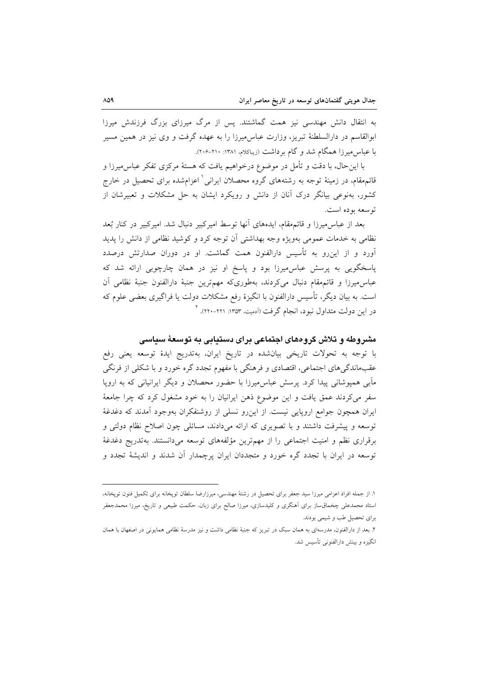به انتقال دانش مهندسی نیز همت گماشتند. پس از مرگ میرزای بزرگ فرزندش میرزا ابوالقاسم در دارالسلطنهٔ تیریز، وزارت عباس میرزا را به عهده گرفت و وی نیز در همین مسیر با عباس میرزا همگام شد و گام برداشت (زیباکلام، ۱۳۸۱: ۲۱۰-۲۰۶).

با اینحال، با دقت و تأمل در موضوع درخواهیم یافت که هستهٔ مرکزی تفکر عباس میرزا و قائمهقام، در زمینهٔ توجه به رشتههای گروه محصلان ایرانی ٰ اعزامشده برای تحصیل در خارج کشور، بهنوعی بیانگر درک آنان از دانش و رویکرد ایشان به حل مشکلات و تعبیرشان از توسعه بوده است.

بعد از عباس میرزا و قائم مقام، ایدههای آنها توسط امیرکبیر دنبال شد. امیرکبیر در کنار بُعد نظامی به خدمات عمومی بهویژه وجه بهداشتی آن توجه کرد و کوشید نظامی از دانش را پدید آورد و از این رو به تأسیس دارالفنون همت گماشت. او در دوران صدارتش درصدد پاسخگویی به پرسش عباس میرزا بود و پاسخ او نیز در همان چارچوبی ارائه شد که عباس.میرزا و قائم.مقام دنبال میکردند، بهطوریکه مهمترین جنبهٔ دارالفنون جنبهٔ نظامی أن است. به بیان دیگر، تأسیس دارالفنون با انگیزهٔ رفع مشکلات دولت یا فراگیری بعضی علوم که در این دولت متداول نبود، انجام گرفت (آدمیت، ۱۳۵۳: ۲۲۱-۲۲۰). <sup>۲</sup>

### مشروطه و تلاش گروههای اجتماعی برای دستیابی به توسعهٔ سیاسی

با توجه به تحولات تاریخی بیانشده در تاریخ ایران، بهتدریج ایدهٔ توسعه یعنی رفع عقبماندگیهای اجتماعی، اقتصادی و فرهنگی با مفهوم تجدد گره خورد و با شکلی از فرنگی مآبی همپوشانی پیدا کرد. پرسش عباس میرزا با حضور محصلان و دیگر ایرانیانی که به اروپا سفر می کردند عمق یافت و این موضوع ذهن ایرانیان را به خود مشغول کرد که چرا جامعهٔ ایران همچون جوامع اروپایی نیست. از این٫رو نسلی از روشنفکران بهوجود آمدند که دغدغهٔ توسعه و پیشرفت داشتند و با تصویری که ارائه میدادند، مسائلی چون اصلاح نظام دولتی و برقراری نظم و امنیت اجتماعی را از مهمترین مؤلفههای توسعه میدانستند. بهتدریج دغدغهٔ توسعه در ایران با تجدد گره خورد و متجددان ایران پرچمدار آن شدند و اندیشهٔ تجدد و

۱. از جمله افراد اعزامی میرزا سید جعفر برای تحصیل در رشتهٔ مهندسی، میرزارضا سلطان توپخانه برای تکمیل فنون توپخانه، استاد محمدعلی چخماق ساز برای آهنگری و کلیدسازی، میرزا صالح برای زبان، حکمت طبیعی و تاریخ، میرزا محمدجعفر برای تحصیل طب و شیمی بودند.

۲. بعد از دارالفنون، مدرسهای به همان سبک در تبریز که جنبهٔ نظامی داشت و نیز مدرسهٔ نظامی همایونی در اصفهان با همان انگیزه و بینش دارالفنونی تأسیس شد.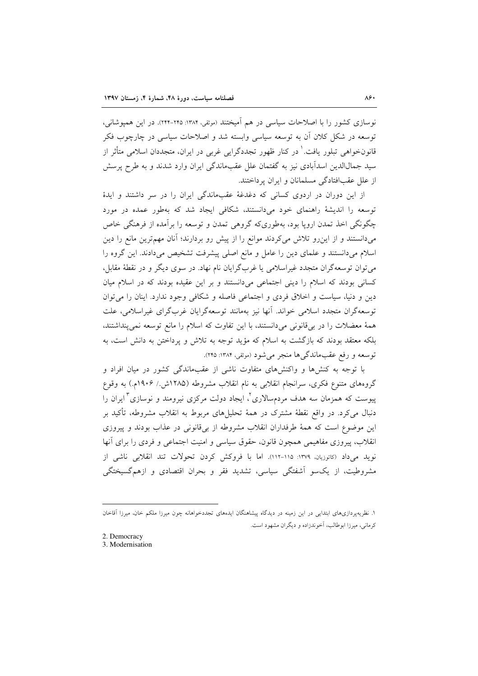نوسازی کشور را با اصلاحات سیاسی در هم اَمیختند (موثقی، ۱۳۸۴: ۲۴۵-۲۴۴). در این همیوشانی، توسعه در شکل کلان اَن به توسعه سیاسی وابسته شد و اصلاحات سیاسی در چارچوب فکر قانونخواهی تبلور یافت.<sup>۱</sup> در کنار ظهور تجددگرایی غربی در ایران، متجددان اسلامی متأثر از سید جمالالدین اسدآبادی نیز به گفتمان علل عقبماندگی ایران وارد شدند و به طرح پرسش از علل عقبافتادگی مسلمانان و ایران پرداختند.

از این دوران در اردوی کسانی که دغدغهٔ عقبماندگی ایران را در سر داشتند و ایدهٔ توسعه را اندیشهٔ راهنمای خود میدانستند، شکافی ایجاد شد که بهطور عمده در مورد چگونگی اخذ تمدن اروپا بود، بهطوریکه گروهی تمدن و توسعه را برآمده از فرهنگی خاص میدانستند و از این رو تلاش میکردند موانع را از پیش رو بردارند؛ آنان مهمترین مانع را دین اسلام می دانستند و علمای دین را عامل و مانع اصلی پیشرفت تشخیص می دادند. این گروه را می توان توسعه گران متجدد غیراسلامی یا غربگرایان نام نهاد. در سوی دیگر و در نقطهٔ مقابل، کسانی بودند که اسلام را دینی اجتماعی میدانستند و بر این عقیده بودند که در اسلام میان دین و دنیا، سیاست و اخلاق فردی و اجتماعی فاصله و شکافی وجود ندارد. اینان را می توان توسعه گران متجدد اسلامی خواند. آنها نیز بهمانند توسعهگرایان غربگرای غیراسلامی، علت همهٔ معضلات را در برقانونی میدانستند، با این تفاوت که اسلام را مانع توسعه نمیپنداشتند، بلکه معتقد بودند که بازگشت به اسلام که مؤید توجه به تلاش و پرداختن به دانش است، به توسعه و رفع عقبماندگیها منجر می شود (موثقی، ۱۳۸۴: ۲۴۵).

با توجه به کنشها و واکنشهای متفاوت ناشی از عقبماندگی کشور در میان افراد و گروههای متنوع فکری، سرانجام انقلابی به نام انقلاب مشروطه (۱۲۸۵ش / ۱۹۰۶م.) به وقوع پیوست که همزمان سه هدف مردمسالاری ٔ، ایجاد دولت مرکزی نیرومند و نوسازی ٔ ایران را دنبال میکرد. در واقع نقطهٔ مشترک در همهٔ تحلیلهای مربوط به انقلاب مشروطه، تأکید بر این موضوع است که همهٔ طرفداران انقلاب مشروطه از بیقانونی در عذاب بودند و پیروزی انقلاب، پیروزی مفاهیمی همچون قانون، حقوق سیاسی و امنیت اجتماعی و فردی را برای آنها نويد مي داد (كاتوزيان، ١٣٧٩: ١١٥-١١٢). اما با فروكش كردن تحولات تند انقلابي ناشي از مشروطیت، از یک سو آشفتگی سیاسی، تشدید فقر و بحران اقتصادی و ازهم گسیختگی

۱. نظریهپردازیهای ابتدایی در این زمینه در دیدگاه پیشاهنگان ایدههای تجددخواهانه چون میرزا ملکم خان، میرزا اَقاخان کرمانی، میرزا ابوطالب، آخوندزاده و دیگران مشهود است.

<sup>2.</sup> Democracy

<sup>3.</sup> Modernisation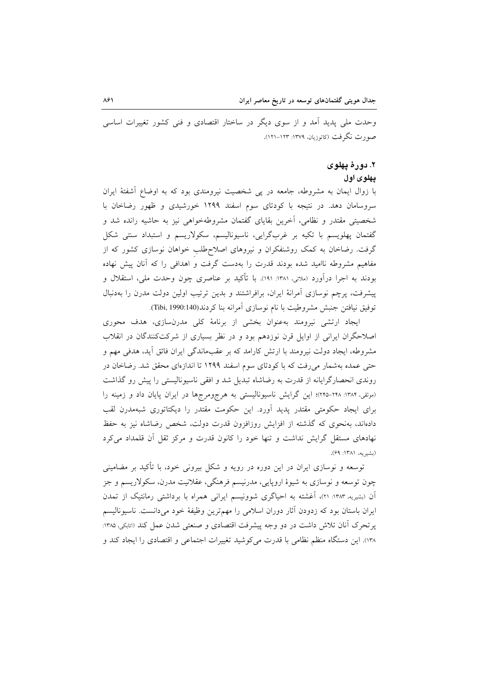وحدت ملی پدید آمد و از سوی دیگر در ساختار اقتصادی و فنی کشور تغییرات اساسی صورت نگرفت (کاتوزیان، ۱۳۷۹: ۱۲۳–۱۲۱).

### ۲. دورۀ يهلوی

#### يهلوی اول

با زوال ایمان به مشروطه، جامعه در پی شخصیت نیرومندی بود که به اوضاع أشفتهٔ ایران سروسامان دهد. در نتیجه با کودتای سوم اسفند ۱۲۹۹ خورشیدی و ظهور رضاخان با شخصیتی مقتدر و نظامی، آخرین بقایای گفتمان مشروطهخواهی نیز به حاشیه رانده شد و گفتمان يهلويسم با تكيه بر غربگرايي، ناسيوناليسم، سكولاريسم و استبداد سنتي شكل گرفت. رضاخان به کمک روشنفکران و نیروهای اصلاحطلب خواهان نوسازی کشور که از مفاهیم مشروطه ناامید شده بودند قدرت را بهدست گرفت و اهدافی را که آنان پیش نهاده بودند به اجرا درآورد (ملائي، ١٣٨١: ١٩١). با تأكيد بر عناصري چون وحدت ملي، استقلال و پیشرفت، پرچم نوسازی آمرانهٔ ایران، برافراشتند و بدین ترتیب اولین دولت مدرن را بهدنبال توفيق نيافتن جنبش مشروطيت با نام نوسازي آمرانه بنا كردند(Tibi, 1990:140).

ایجاد ارتشی نیرومند بهعنوان بخشی از برنامهٔ کلی مدرنسازی، هدف محوری اصلاحگران ایرانی از اوایل قرن نوزدهم بود و در نظر بسیاری از شرکتکنندگان در انقلاب مشروطه، ایجاد دولت نیرومند با ارتش کارامد که بر عقبماندگی ایران فائق آید، هدفی مهم و حتی عمده بهشمار میرفت که با کودتای سوم اسفند ۱۲۹۹ تا اندازهای محقق شد. رضاخان در روندی انحصارگرایانه از قدرت به رضاشاه تبدیل شد و افقی ناسیونالیستی را پیش رو گذاشت (موثقی، ۱۳۸۴: ۲۴۸-۲۴۵)؛ این گرایش ناسیونالیستی به هرجومرجها در ایران پایان داد و زمینه را برای ایجاد حکومتی مقتدر پدید آورد. این حکومت مقتدر را دیکتاتوری شبهمدرن لقب دادهاند، بهنحوی که گذشته از افزایش روزافزون قدرت دولت، شخص رضاشاه نیز به حفظ نهادهای مستقل گرایش نداشت و تنها خود را کانون قدرت و مرکز ثقل آن قلمداد میکرد (بشيريه، ١٣٨١: ۶۹).

توسعه و نوسازی ایران در این دوره در رویه و شکل بیرونی خود، با تأکید بر مضامینی چون توسعه و نوسازی به شیوهٔ اروپایی، مدرنیسم فرهنگی، عقلانیت مدرن، سکولاریسم و جز آن (بشیریه، ۱۳۸۳: ۲۱)، آغشته به احیاگری شوونیسم ایرانی همراه با برداشتی رمانتیک از تمدن ایران باستان بود که زدودن آثار دوران اسلامی را مهمترین وظیفهٔ خود میدانست. ناسیونالیسم پرتحرک آنان تلاش داشت در دو وجه پیشرفت اقتصادی و صنعتی شدن عمل کند (اتابکی، ۱۳۸۵: ١٣٨). اين دستگاه منظم نظامي با قدرت مي كوشيد تغييرات اجتماعي و اقتصادي را ايجاد كند و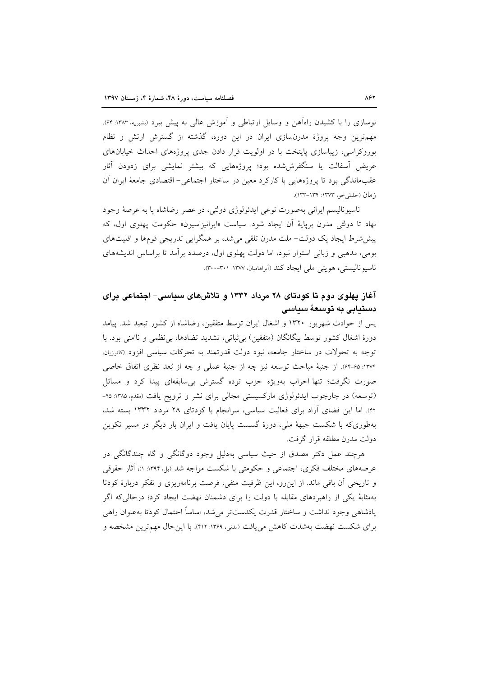نوسازی را با کشیدن راهآهن و وسایل ارتباطی و آموزش عالی به پیش ببرد (بشیریه، ۱۳۸۳: ۶۴). مهم ترین وجه پروژهٔ مدرن سازی ایران در این دوره، گذشته از گسترش ارتش و نظام بوروکراسی، زیباسازی پایتخت با در اولویت قرار دادن جدی پروژههای احداث خیابانهای عریض آسفالت یا سنگفرش،شده بود؛ پروژههایی که بیشتر نمایشی برای زدودن آثار عقبِماندگی بود تا پروژههایی با کارکرد معین در ساختار اجتماعی– اقتصادی جامعهٔ ایران اَن زمان (خليلي خو، ١٣٧٣: ١٣٣-١٣٣).

ناسیونالیسم ایرانی بهصورت نوعی ایدئولوژی دولتی، در عصر رضاشاه یا به عرصهٔ وجود نهاد تا دولتي مدرن بريايهٔ آن ايجاد شود. سياست «ايرانيزاسيون» حكومت يهلوي اول، كه پیششرط ایجاد یک دولت- ملت مدرن تلقی می شد، بر همگرایی تدریجی قومها و اقلیتهای بومی، مذهبی و زبانی استوار نبود، اما دولت پهلوی اول، درصدد بر آمد تا براساس اندیشههای ناسيوناليستي، هويتي ملي ايجاد كند (أبراهاميان، ١٣٧٧: ٣٠٠-٣٠٠).

# آغاز پهلوی دوم تا کودتای ۲۸ مرداد ۱۳۳۲ و تلاشهای سداسی- اجتماعی درای دستيابى به توسعهٔ سياسى

پس از حوادث شهریور ۱۳۲۰ و اشغال ایران توسط متفقین، رضاشاه از کشور تبعید شد. پیامد دورهٔ اشغال کشور توسط بیگانگان (متفقین) بیِثباتی، تشدید تضادها، بیِنظمی و ناامنی بود. با توجه به تحولات در ساختار جامعه، نبود دولت قدرتمند به تحرکات سیاسی افزود (کاتوزیان. ١٣٧٢: ۶٥-٥۴). از جنبهٔ مباحث توسعه نيز چه از جنبهٔ عملي و چه از بُعد نظري اتفاق خاصي صورت نگرفت؛ تنها احزاب بهویژه حزب توده گسترش بی سابقهای پیدا کرد و مسائل (توسعه) در چارچوب ایدئولوژی مارکسیستی مجالی برای نشر و ترویج یافت (مقدم، ۱۳۸۵: ۴۵-۴۲). اما این فضای آزاد برای فعالیت سیاسی، سرانجام با کودتای ۲۸ مرداد ۱۳۳۲ بسته شد، بهطوریکه با شکست جبههٔ ملی، دورهٔ گسست پایان یافت و ایران بار دیگر در مسیر تکوین دولت مدرن مطلقه قرار گرفت.

هرچند عمل دکتر مصدق از حیث سیاسی بهدلیل وجود دوگانگی و گاه چندگانگی در عرصههای مختلف فکری، اجتماعی و حکومتی با شکست مواجه شد (بل ۱۳۹۴: ۱)، آثار حقوقی و تاریخی آن باقی ماند. از این رو، این ظرفیت منفی، فرصت برنامهریزی و تفکر دربارهٔ کودتا بهمثابهٔ یکی از راهبردهای مقابله با دولت را برای دشمنان نهضت ایجاد کرد؛ درحالی که اگر يادشاهي وجود نداشت و ساختار قدرت يكدستتر مى شد، اساساً احتمال كودتا بهعنوان راهي براي شكست نهضت بهشدت كاهش مي يافت (مدنى، ١٣۶٩: ٤١٢). با اين حال مهمترين مشخصه و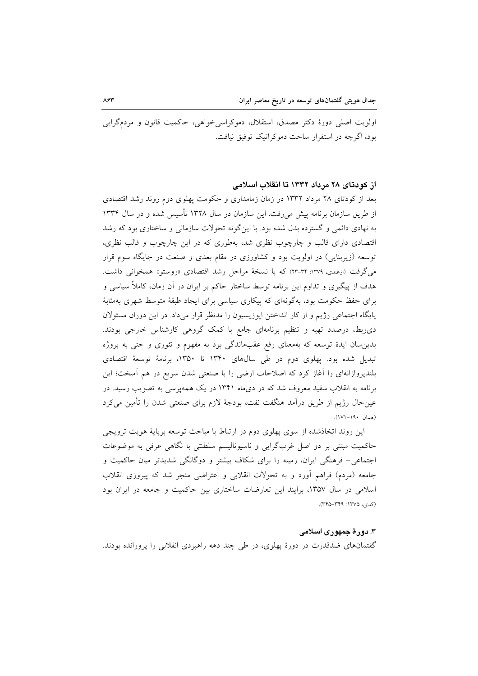اولويت اصلي دورهٔ دکتر مصدق، استقلال، دموکراسي خواهي، حاکميت قانون و مردمگرايي بود، اگرچه در استقرار ساخت دموکراتیک توفیق نبافت.

### از کودتای ۲۸ مرداد ۱۳۳۲ تا انقلاب اسلامی

بعد از کودتای ۲۸ مرداد ۱۳۳۲ در زمان زمامداری و حکومت یهلوی دوم روند رشد اقتصادی از طریق سازمان برنامه پیش می(فت. این سازمان در سال ۱۳۲۸ تأسیس شده و در سال ۱۳۳۴ به نهادی دائمی و گسترده بدل شده بود. با این گونه تحولات سازمانی و ساختاری بود که رشد اقتصادی دارای قالب و چارچوب نظری شد، بهطوری که در این چارچوب و قالب نظری، توسعه (زیربنایی) در اولویت بود و کشاورزی در مقام بعدی و صنعت در جایگاه سوم قرار می گرفت (ازغندی، ۱۳۷۹: ۳۴-۲۳) که با نسخهٔ مراحل رشد اقتصادی «روستو» همخوانی داشت. هدف از پیگیری و تداوم این برنامه توسط ساختار حاکم بر ایران در آن زمان، کاملاً سیاسی و برای حفظ حکومت بود، بهگونهای که پیکاری سیاسی برای ایجاد طبقهٔ متوسط شهری بهمثابهٔ پایگاه اجتماعی رژیم و از کار انداختن اپوزیسیون را مدنظر قرار میداد. در این دوران مسئولان ذی٫بط، درصدد تهیه و تنظیم برنامهای جامع با کمک گروهی کارشناس خارجی بودند. بدین سان ایدهٔ توسعه که بهمعنای رفع عقبماندگی بود به مفهوم و تئوری و حتی به پروژه تبدیل شده بود. یهلوی دوم در طی سالهای ۱۳۴۰ تا ۱۳۵۰، برنامهٔ توسعهٔ اقتصادی بلندپروازانهای را آغاز کرد که اصلاحات ارضی را با صنعتی شدن سریع در هم آمیخت؛ این برنامه به انقلاب سفید معروف شد که در دیماه ۱۳۴۱ در یک همهپرسی به تصویب رسید. در عین حال رژیم از طریق درآمد هنگفت نفت، بودجهٔ لازم برای صنعتی شدن را تأمین می کرد (همان: ۱۹۰–۱۷۱).

این روند اتخاذشده از سوی پهلوی دوم در ارتباط با مباحث توسعه برپایهٔ هویت ترویجی حاکمیت مبتنی بر دو اصل غربگرایی و ناسیونالیسم سلطنتی با نگاهی عرفی به موضوعات اجتماعی– فرهنگی ایران، زمینه را برای شکاف بیشتر و دوگانگی شدیدتر میان حاکمیت و جامعه (مردم) فراهم أورد و به تحولات انقلابي و اعتراضي منجر شد كه پيروزي انقلاب اسلامی در سال ۱۳۵۷، برایند این تعارضات ساختاری بین حاکمیت و جامعه در ایران بود (کدی، ۱۳۷۵: ۳۴۹–۳۴۵).

### ۳. دورۀ جمهوری اسلامی

گفتمانهای ضدقدرت در دورهٔ پهلوی، در طی چند دهه راهبردی انقلابی را پرورانده بودند.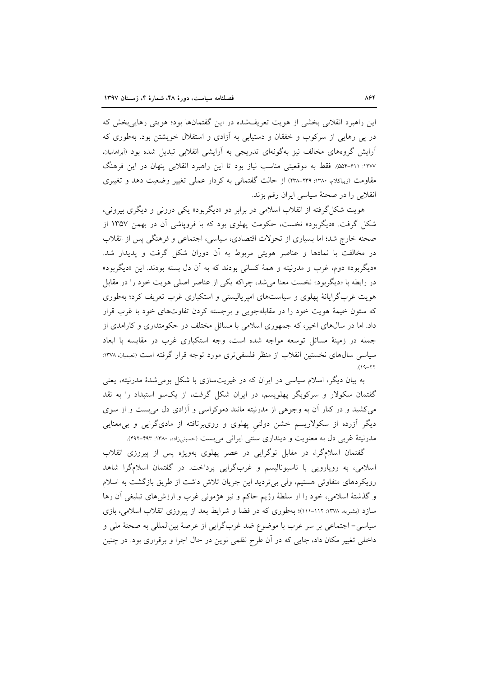این راهبرد انقلابی بخشی از هویت تعریفشده در این گفتمانها بود؛ هویتی رهایی بخش که در پی رهایی از سرکوب و خفقان و دستیابی به آزادی و استقلال خویشتن بود. بهطوری که آرایش گروههای مخالف نیز بهگونهای تدریجی به آرایشی انقلابی تبدیل شده بود (اَبراهامیان<sub>)</sub> ۱۳۷۷: ۶۱۱-۵۵۴. فقط به موقعیتی مناسب نیاز بود تا این راهبرد انقلابی پنهان در این فرهنگ مقاومت (زیباکلام، ۱۳۸۰: ۲۳۹-۲۳۸) از حالت گفتمانی به کردار عملی تغییر وضعیت دهد و تغییری انقلابی را در صحنهٔ سیاسی ایران رقم بزند.

هويت شكل گرفته از انقلاب اسلامي در برابر دو «ديگربود» يكي دروني و ديگري بيروني، شکل گرفت. «دیگربود» نخست، حکومت یهلوی بود که با فرویاشی آن در بهمن ۱۳۵۷ از صحنه خارج شد؛ اما بسیاری از تحولات اقتصادی، سیاسی، اجتماعی و فرهنگی پس از انقلاب در مخالفت با نمادها و عناصر هویتی مربوط به آن دوران شکل گرفت و پدیدار شد. «دیگربود» دوم، غرب و مدرنیته و همهٔ کسانی بودند که به آن دل بسته بودند. این «دیگربود» در رابطه با «دیگربود» نخست معنا می شد، چراکه یکی از عناصر اصلی هویت خود را در مقابل هویت غربگرایانهٔ پهلوی و سیاستهای امپریالیستی و استکباری غرب تعریف کرد؛ بهطوری که ستون خیمهٔ هویت خود را در مقابلهجویی و برجسته کردن تفاوتهای خود با غرب قرار داد. اما در سالهای اخیر، که جمهوری اسلامی با مسائل مختلف در حکومتداری و کارامدی از جمله در زمینهٔ مسائل توسعه مواجه شده است، وجه استکباری غرب در مقایسه با ابعاد سیاسی سالهای نخستین انقلاب از منظر فلسفی تری مورد توجه قرار گرفته است (نعیمیان، ۱۳۷۸:  $(19 - 77)$ 

به بیان دیگر، اسلام سیاسی در ایران که در غیریتسازی با شکل بومی شدهٔ مدرنیته، یعنی گفتمان سکولار و سرکوبگر پهلویسم، در ایران شکل گرفت، از یکسو استبداد را به نقد می کشید و در کنار آن به وجوهی از مدرنیته مانند دموکراسی و آزادی دل می بست و از سوی دیگر آزرده از سکولاریسم خشن دولتی پهلوی و رویبرتافته از مادیگرایی و بیمعنایی مدرنیتهٔ غربی دل به معنویت و دینداری سنتی ایرانی می بست (حسینیزاده، ۱۳۸۰: ۴۹۲-۴۹۲).

گفتمان اسلامگرا، در مقابل نوگرایی در عصر پهلوی بهویژه پس از پیروزی انقلاب اسلامی، به رویارویی با ناسیونالیسم و غربگرایی پرداخت. در گفتمان اسلامگرا شاهد رویکردهای متفاوتی هستیم، ولی بیتردید این جریان تلاش داشت از طریق بازگشت به اسلام و گذشتهٔ اسلامی، خود را از سلطهٔ رژیم حاکم و نیز هژمونی غرب و ارزشهای تبلیغی آن رها سازد (بشیریه، ۱۳۷۸: ۱۱۲-۱۱۱)؛ بهطوری که در فضا و شرایط بعد از پیروزی انقلاب اسلامی، بازی سیاسی- اجتماعی بر سر غرب با موضوع ضد غربگرایی از عرصهٔ بین|لمللی به صحنهٔ ملی و داخلی تغییر مکان داد، جایی که در آن طرح نظمی نوین در حال اجرا و برقراری بود. در چنین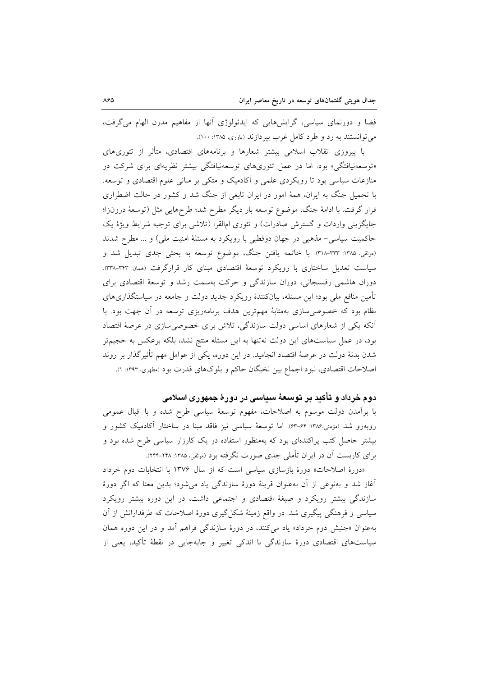فضا و دورنمای سیاسی، گرایشهایی که ایدئولوژی آنها از مفاهیم مدرن الهام می گرفت، مي توانستند به رد و طرد كامل غرب بيردازند (ياوري، ۱۳۸۵: ۱۰۰).

با پیروزی انقلاب اسلامی بیشتر شعارها و برنامههای اقتصادی، متأثر از تئوریهای «توسعهنیافتگی» بود. اما در عمل تئوریهای توسعهنیافتگی بیشتر نظریهای برای شرکت در منازعات سیاسی بود تا رویکردی علمی و آکادمیک و متکی بر مبانی علوم اقتصادی و توسعه. با تحمیل جنگ به ایران، همهٔ امور در ایران تابعی از جنگ شد و کشور در حالت اضطراری قرار گرفت. با ادامهٔ جنگ، موضوع توسعه بار دیگر مطرح شد؛ طرحهایی مثل (توسعهٔ درونزا؛ جایگزینی واردات و گسترش صادرات) و تئوری امالقرا (تلاشی برای توجیه شرایط ویژهٔ یک حاکمیت سیاسی- مذهبی در جهان دوقطبی با رویکرد به مسئلهٔ امنیت ملی) و ... مطرح شدند (موثقى، ١٣٨٥: ٣٦٣-٣١٨). با خاتمه يافتن جنگ، موضوع توسعه به بحثى جدى تبديل شد و سیاست تعدیل ساختاری با رویکرد توسعهٔ اقتصادی مبنای کار قرارگرفت (ممان: ۳۴۳-۳۳۸). دوران هاشمی رفسنجانی، دوران سازندگی و حرکت بهسمت رشد و توسعهٔ اقتصادی برای تأمین منافع ملی بود؛ این مسئله، بیانکنندهٔ رویکرد جدید دولت و جامعه در سیاستگذاریهای نظام بود که خصوصی سازی بهمثابهٔ مهمترین هدف برنامهریزی توسعه در آن جهت بود. با آنکه یکی از شعارهای اساسی دولت سازندگی، تلاش برای خصوصی سازی در عرصهٔ اقتصاد بود، در عمل سیاستهای این دولت نهتنها به این مسئله منتج نشد، بلکه برعکس به حجیمتر شدن بدنهٔ دولت در عرصهٔ اقتصاد انجامید. در این دوره، یکی از عوامل مهم تأثیرگذار بر روند اصلاحات اقتصادي، نبود اجماع بين نخبگان حاكم و بلوكهاي قدرت بود (مطهري، ١٣٩٣: ١).

## دوم خرداد و تأکید بر توسعهٔ سیاسی در دورهٔ جمهوری اسلامی

با برآمدن دولت موسوم به اصلاحات، مفهوم توسعهٔ سیاسی طرح شده و با اقبال عمومی روبهرو شد (مؤمنی،۱۳۸۶: ۶۴–۶۳). اما توسعهٔ سیاسی نیز فاقد مبنا در ساختار آکادمیک کشور و بیشتر حاصل کتب پراکندهای بود که بهمنظور استفاده در یک کارزار سیاسی طرح شده بود و برای کاربست آن در ایران تأملی جدی صورت نگرفته بود (موثقی، ۱۳۸۵: ۲۴۸–۲۴۴).

«دورهٔ اصلاحات» دورهٔ بازسازی سیاسی است که از سال ۱۳۷۶ با انتخابات دوم خرداد آغاز شد و بهنوعی از آن بهعنوان قرینهٔ دورهٔ سازندگی یاد می شود؛ بدین معنا که اگر دورهٔ سازندگی بیشتر رویکرد و صبغهٔ اقتصادی و اجتماعی داشت، در این دوره بیشتر رویکرد سیاسی و فرهنگی پیگیری شد. در واقع زمینهٔ شکل گیری دورهٔ اصلاحات که طرفدارانش از آن بهعنوان «جنبش دوم خرداد» یاد میکنند، در دورهٔ سازندگی فراهم آمد و در این دوره همان سیاستهای اقتصادی دورهٔ سازندگی با اندکی تغییر و جابهجایی در نقطهٔ تأکید، یعنی از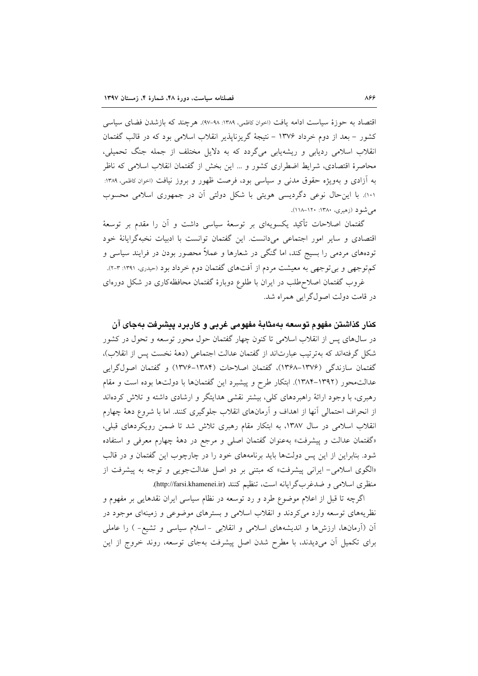اقتصاد به حوزهٔ سیاست ادامه یافت (اخوان کاظمی، ۱۳۸۹: ۹۸–۹۷). هرچند که بازشدن فضای سیاسی کشور – بعد از دوم خرداد ۱۳۷۶ – نتیجهٔ گریزناپذیر انقلاب اسلامی بود که در قالب گفتمان انقلاب اسلامی ردیابی و ریشهیابی میگردد که به دلایل مختلف از جمله جنگ تحمیلی، محاصرهٔ اقتصادی، شرایط اضطراری کشور و … این بخش از گفتمان انقلاب اسلامی که ناظر به آزادی و بهویژه حقوق مدنی و سیاسی بود، فرصت ظهور و بروز نیافت (احوان کاظمی، ۱۳۸۹: ١٠١). با این حال نوعی دگردیسی هویتی با شکل دولتی آن در جمهوری اسلامی محسوب می شو د (زهیری، ۱۳۸۰: ۱۲۰–۱۱۸).

گفتمان اصلاحات تأکید یکسویهای بر توسعهٔ سیاسی داشت و آن را مقدم بر توسعهٔ اقتصادی و سایر امور اجتماعی میدانست. این گفتمان توانست با ادبیات نخبهگرایانهٔ خود تودههای مردمی را بسیج کند، اما گنگی در شعارها و عملاً محصور بودن در فرایند سیاسی و کم توجهی و بی توجهی به معیشت مردم از آفتهای گفتمان دوم خرداد بود (حیدری، ۱۳۹۱: ۳-۲). غروب گفتمان اصلاح طلب در ایران با طلوع دوبارهٔ گفتمان محافظهکاری در شکل دورهای

در قامت دولت اصولگرایی همراه شد.

كنار گذاشتن مفهوم توسعه بهمثابهٔ مفهومی غربی و كاربرد پیشرفت بهجای آن در سال@های پس از انقلاب اسلامی تا کنون چهار گفتمان حول محور توسعه و تحول در کشور شکل گرفتهاند که بهترتیب عبارتاند از گفتمان عدالت اجتماعی (دههٔ نخست پس از انقلاب)، گفتمان سازندگی (۱۳۷۶–۱۳۶۸)، گفتمان اصلاحات (۱۳۸۴–۱۳۷۶) و گفتمان اصولگرایی عدالت.حور (۱۳۹۲–۱۳۸۴). ابتکار طرح و پیشبرد این گفتمانها با دولتها بوده است و مقام رهبری، با وجود ارائهٔ راهبردهای کلی، بیشتر نقشی هدایتگر و ارشادی داشته و تلاش کردهاند از انحراف احتمالی آنها از اهداف و آرمانهای انقلاب جلوگیری کنند. اما با شروع دههٔ چهارم انقلاب اسلامی در سال ۱۳۸۷، به ابتکار مقام رهبری تلاش شد تا ضمن رویکردهای قبلی، «گفتمان عدالت و پیشرفت» بهعنوان گفتمان اصلی و مرجع در دههٔ چهارم معرفی و استفاده شود. بنابراین از این پس دولتها باید برنامههای خود را در چارچوب این گفتمان و در قالب «الگوی اسلامی- ایرانی پیشرفت» که مبتنی بر دو اصل عدالتجویی و توجه به پیشرفت از منظري اسلامي و ضدغربگرايانه است، تنظيم كنند (http://farsi.khamenei.ir).

اگرچه تا قبل از اعلام موضوع طرد و رد توسعه در نظام سیاسی ایران نقدهایی بر مفهوم و نظریههای توسعه وارد میکردند و انقلاب اسلامی و بسترهای موضوعی و زمینهای موجود در اّن (اَرمانها، ارزشها و اندیشههای اسلامی و انقلابی -اسلام سیاسی و تشیع- ) را عاملی برای تکمیل آن میدیدند، با مطرح شدن اصل پیشرفت بهجای توسعه، روند خروج از این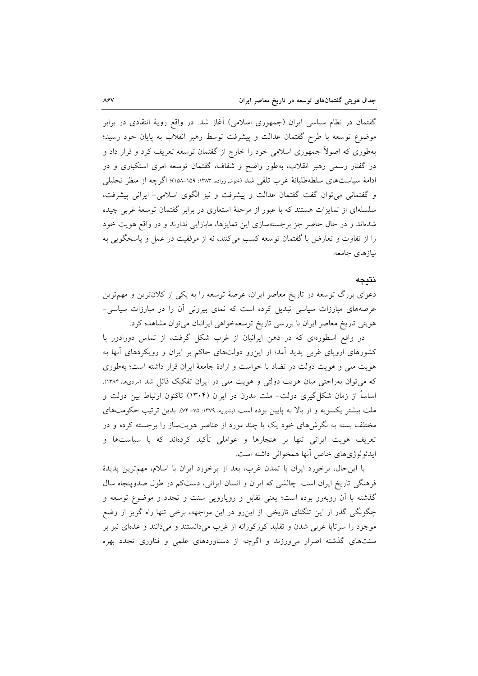گفتمان در نظام سیاسی ایران (جمهوری اسلامی) آغاز شد. در واقع رویهٔ انتقادی در برابر موضوع توسعه با طرح گفتمان عدالت و پیشرفت توسط رهبر انقلاب به پایان خود رسید؛ بهطوری که اصولاً جمهوری اسلامی خود را خارج از گفتمان توسعه تعریف کرد و قرار داد و در گفتار رسمی رهبر انقلاب، بهطور واضح و شفاف، گفتمان توسعه امری استکباری و در ادامهٔ سیاستهای سلطهطلبانهٔ غرب تلقی شد (خوشروزاده، ۱۳۸۳: ۱۵۹–۱۵۸)؛ اگرچه از منظر تحلیلی و گفتمانی می توان گفت گفتمان عدالت و پیشرفت و نیز الگوی اسلامی- ایرانی پیشرفت، سلسلهای از تمایزات هستند که با عبور از مرحلهٔ استعاری در برابر گفتمان توسعهٔ غربی چیده شدهاند و در حال حاضر جز برجستهسازی این تمایزها، مابازایی ندارند و در واقع هویت خود را از تفاوت و تعارض با گفتمان توسعه كسب مى كنند، نه از موفقيت در عمل و پاسخگويى به نيازهاي جامعه.

### نتيجه

دعوای بزرگ توسعه در تاریخ معاصر ایران، عرصهٔ توسعه را به یکی از کلان ترین و مهمترین عرصههای مبارزات سیاسی تبدیل کرده است که نمای بیرونی آن را در مبارزات سیاسی-هویتی تاریخ معاصر ایران با بررسی تاریخ توسعهخواهی ایرانیان میتوان مشاهده کرد.

در واقع اسطورهای که در ذهن ایرانیان از غرب شکل گرفت، از تماس دورادور با کشورهای اروپای غربی پدید آمد؛ از اینِ رو دولتهای حاکم بر ایران و رویکردهای آنها به هویت ملی و هویت دولت در تضاد با خواست و ارادهٔ جامعهٔ ایران قرار داشته است؛ بهطوری که می توان بهراحتی میان هویت دولتی و هویت ملی در ایران تفکیک قائل شد (مردیها، ۱۳۸۴). اساساً از زمان شکل گیری دولت– ملت مدرن در ایران (۱۳۰۴) تاکنون ارتباط بین دولت و ملت بیشتر یکسویه و از بالا به پایین بوده است (بشیریه، ۱۳۷۹: ۷۵-۷۴). بدین ترتیب حکومتهای مختلف بسته به نگرشهای خود یک یا چند مورد از عناصر هویتساز را برجسته کرده و در تعریف هویت ایرانی تنها بر هنجارها و عواملی تأکید کردهاند که با سیاستها و ايدئولوژيهاي خاص آنها همخواني داشته است.

با این حال، برخورد ایران با تمدن غرب، بعد از برخورد ایران با اسلام، مهمترین پدیدهٔ فرهنگی تاریخ ایران است. چالشی که ایران و انسان ایرانی، دستکم در طول صدوپنجاه سال گذشته با آن روبهرو بوده است؛ یعنی تقابل و رویارویی سنت و تجدد و موضوع توسعه و چگونگی گذر از این تنگنای تاریخی. از اینرو در این مواجهه، برخی تنها راه گریز از وضع موجود را سرتاپا غربی شدن و تقلید کورکورانه از غرب میدانستند و میدانند و عدمای نیز بر سنتهای گذشته اصرار می ورزند و اگرچه از دستاوردهای علمی و فناوری تجدد بهره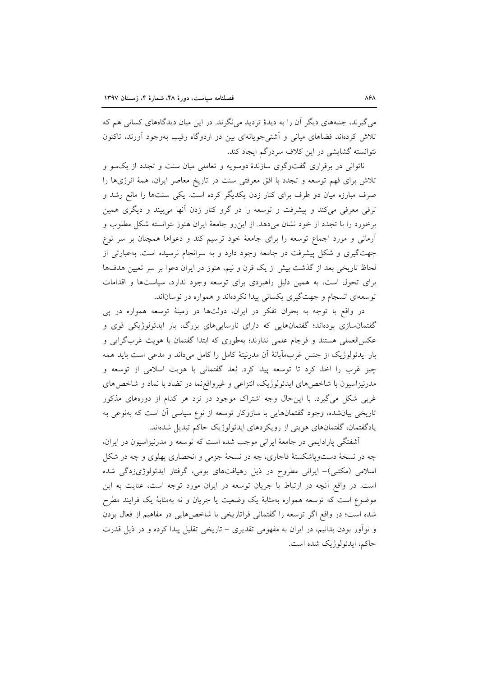می گیرند، جنبههای دیگر آن را به دیدهٔ تردید می نگرند. در این میان دیدگاههای کسانی هم که تلاش کردهاند فضاهای میانی و آشتی جویانهای بین دو اردوگاه رقیب بهوجود آورند، تاکنون نتوانسته گشایشی در این کلاف سردرگم ایجاد کند.

ناتوانی در برقراری گفتوگوی سازندهٔ دوسویه و تعاملی میان سنت و تجدد از یکسو و تلاش برای فهم توسعه و تجدد با افق معرفتی سنت در تاریخ معاصر ایران، همهٔ انرژیها را صرف مبارزه میان دو طرف برای کنار زدن یکدیگر کرده است. یکی سنتها را مانع رشد و ترقی معرفی میکند و پیشرفت و توسعه را در گرو کنار زدن آنها میبیند و دیگری همین برخورد را با تجدد از خود نشان میدهد. از این رو جامعهٔ ایران هنوز نتوانسته شکل مطلوب و آرمانی و مورد اجماع توسعه را برای جامعهٔ خود ترسیم کند و دعواها همچنان بر سر نوع جهت گیری و شکل پیشرفت در جامعه وجود دارد و به سرانجام نرسیده است. بهعبارتی از لحاظ تاریخی بعد از گذشت بیش از یک قرن و نیم، هنوز در ایران دعوا بر سر تعیین هدفها برای تحول است، به همین دلیل راهبردی برای توسعه وجود ندارد، سیاستها و اقدامات توسعهای انسجام و جهت گیری یکسانی پیدا نکردهاند و همواره در نوساناند.

در واقع با توجه به بحران تفكر در ايران، دولتها در زمينهٔ توسعه همواره در پي گفتمانسازی بودهاند؛ گفتمانهایی که دارای نارساییهای بزرگ، بار ایدئولوژیکی قوی و عکسالعملی هستند و فرجام علمی ندارند؛ بهطوری که ابتدا گفتمان با هویت غربگرایی و بار ایدئولوژیک از جنس غربمآبانهٔ اَن مدرنیتهٔ کامل را کامل میداند و مدعی است باید همه چیز غرب را اخذ کرد تا توسعه پیدا کرد. بُعد گفتمانی با هویت اسلامی از توسعه و مدرنیزاسیون با شاخصهای ایدئولوژیک، انتزاعی و غیرواقع نما در تضاد با نماد و شاخصهای غربی شکل میگیرد. با این حال وجه اشتراک موجود در نزد هر کدام از دورههای مذکور تاریخی بیانشده، وجود گفتمانهایی با سازوکار توسعه از نوع سیاسی آن است که بهنوعی به یادگفتمان، گفتمانهای هویتی از رویکردهای ایدئولوژیک حاکم تبدیل شدهاند.

آشفتگی پارادایمی در جامعهٔ ایرانی موجب شده است که توسعه و مدرنیزاسیون در ایران، چه در نسخهٔ دستوپاشکستهٔ قاجاری، چه در نسخهٔ جزمی و انحصاری پهلوی و چه در شکل اسلامی (مکتبی)– ایرانی مطروح در ذیل رهیافتهای بومی، گرفتار ایدئولوژیزدگی شده است. در واقع آنچه در ارتباط با جریان توسعه در ایران مورد توجه است، عنایت به این موضوع است که توسعه همواره بهمثابهٔ یک وضعیت یا جریان و نه بهمثابهٔ یک فرایند مطرح شده است؛ در واقع اگر توسعه را گفتمانی فراتاریخی با شاخصهایی در مفاهیم از فعال بودن و نوأور بودن بدانیم، در ایران به مفهومی تقدیری – تاریخی تقلیل پیدا کرده و در ذیل قدرت حاكم، ايدئولوژيك شده است.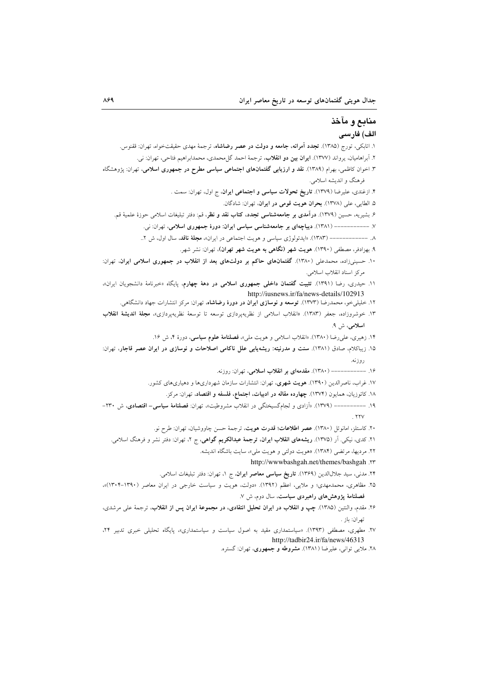# منابع و مآخذ الف) فارسى

۱. اتابکی، تورج (۱۳۸۵). **تجدد آمرانه، جامعه و دولت در عصر رضاشاه**، ترجمهٔ مهدی حقیقتخواه، تهران: ققنوس. ۲. آبراهامیان، یرواند (۱۳۷۷). **ایران بین دو انقلاب**، ترجمهٔ احمد گل**محمدی، محمدابراهیم فتاحی، تهران:** نی. ۳. اخوان کاظمی، بهرام (۱۳۸۹). **نقد و ارزیابی گفتمانهای اجتماعی سیاسی مطرح در جمهوری اسلامی**، تهران: پژوهشگاه فرهنگ و اندیشه اسلامی. ۴. ازغندی، علیرضا (۱۳۷۹). **تاریخ تحولات سیاسی و اجتماعی ایران**، ج اول، تهران: سمت . ۵. الطايي، على (١٣٧٨). بحران هويت قومي در ايران، تهران: شادگان. ۶. بشیریه، حسین (۱۳۷۹). **درآمدی بر جامعهشناسی تجدد، کتاب نقد و نظر**، قم: دفتر تبلیغات اسلامی حوزهٔ علمیهٔ قم. ---------- (١٣٨١). ديباچهای بر جامعهشناسی سياسی ايران: دورهٔ جمهوری اسلامی، تهران: نی.  $--y$ ۸. -------------- (۱۳۸۳). «ایدئولوژی سیاسی و هویت اجتماعی در ایران»، مجلهٔ **ناقد**، سال اول، ش ۲.. ۹. بهزادفر، مصطفی (۱۳۹۰). هویت شهر (نگاهی به هویت شهر تهران)، تهران: نشر شهر. ۱۰. حسینیزاده، محمدعلی (۱۳۸۰). گفتمانهای حاکم بر دولتهای بعد از انقلاب در جمهوری اسلامی ایران، تهران: مركز اسناد انقلاب اسلامي. ۱۱. حیدری، رضا (۱۳۹۱). ت**ثبیت گفتمان داخلی جمهوری اسلامی در دههٔ چهارم**، پایگاه «خبرنامهٔ دانشجویان ایران»، http://iusnews.ir/fa/news-details/102913 ۱۲. خلیل<sub>ی</sub>خو، محمدرضا (۱۳۷۳). **توسعه و نوسازی ایران در دورهٔ رضاشاه**، تهران: مرکز انتشارات جهاد دانشگاه<sub>ی</sub>. ۱۳. خوشروزاده، جعفر (۱۳۸۳). «انقلاب اسلامی از نظریهپردازی توسعه تا توسعهٔ نظریهپردازی»، **مجلهٔ اندیشهٔ انقلاب** اسلامی، ش ۹. ۱۴. زهیری، علی رضا (۱۳۸۰). «انقلاب اسلامی و هویت ملی»، فصلنامهٔ علوم سیاسی، دورهٔ ۴، ش ۱۶. ١۵. زيباكلام، صادق (١٣٨١). سنت و مدرنيته: ريشه يابي علل ناكامي اصلاحات و نوسازي در ايران عصر قاجار، تهران: روزنه. ۱۶. ------------ (۱۳۸۰). مقدمهای بر انقلاب اسلامی، تهران: روزنه. ۱۷. غراب، ناصرالدین (۱۳۹۰). هویت شهری، تهران: انتشارات سازمان شهرداریها و دهیاریهای کشور. ١٨. كاتوزيان، همايون (١٣٧٤). چهارده مقاله در ادبيات، اجتماع، فلسفه و اقتصاد، تهران: مركز. ۱۹. ---------- (۱۳۷۹). «آزادی و لجامگسیختگی در انقلاب مشروطیت»، تهران: فصلنامهٔ سیاسی- اقتصادی، ش ۲۳۰- $.$  YYV ۲۰. كاستلز، امانوئل (۱۳۸۰). عصر اطلاعات؛ قدرت هويت، ترجمة حسن چاووشيان، تهران: طرح نو. ۲۱. کدی، نیکی. اَر (۱۳۷۵). **ریشههای انقلاب ایران، ترجمهٔ عبدالکریم گواهی**، ج ۲، تهران: دفتر نشر و فرهنگ اسلامی. ۲۲. مردیها، مرتضی (۱۳۸۴). «هویت دولتی و هویت ملی»، سایت باشگاه اندیشه. http://wwwbashgah.net/themes/bashgah .vr ۲۴. مدنی، سید جلالالدین (۱۳۶۹). **تاریخ سیاسی معاصر ایران**، ج ۱، تهران: دفتر تبلیغات اسلامی. ۲۵. مظاهری، محمدمهدی؛ و ملایی، اعظم (۱۳۹۲). «دولت، هویت و سیاست خارجی در ایران معاصر (۱۳۹۰–۱۳۰۴)»، فصلنامهٔ پژوهشهای راهبردی سیاست، سال دوم، ش ۷. ۲۶. مقدم، والنتين (۱۳۸۵). چپ و انقلاب در ايران تحليل انتقادى، در مجموعهٔ ايران پس از انقلاب، ترجمهٔ على مرشدى، تهران: باز . ۲۷. مطهری، مصطفی (۱۳۹۳). «سیاستمداری مقید به اصول سیاست و سیاستمداری»، پایگاه تحلیلی خبری تدبیر ۲۴، http://tadbir24.ir/fa/news/46313

۲۸. ملایی توانی، علیرضا (۱۳۸۱). مشروطه و جمهوری، تهران: گستره.